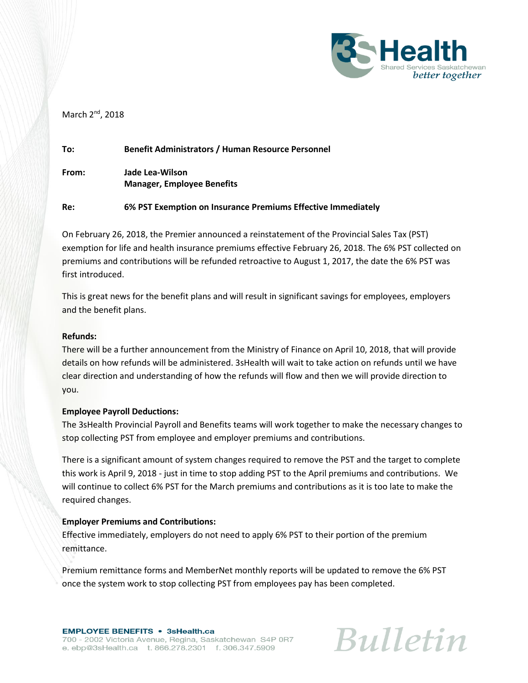

# March 2<sup>nd</sup>, 2018

| To:   | <b>Benefit Administrators / Human Resource Personnel</b>     |
|-------|--------------------------------------------------------------|
| From: | Jade Lea-Wilson<br><b>Manager, Employee Benefits</b>         |
| Re:   | 6% PST Exemption on Insurance Premiums Effective Immediately |

On February 26, 2018, the Premier announced a reinstatement of the Provincial Sales Tax (PST) exemption for life and health insurance premiums effective February 26, 2018. The 6% PST collected on premiums and contributions will be refunded retroactive to August 1, 2017, the date the 6% PST was first introduced.

This is great news for the benefit plans and will result in significant savings for employees, employers and the benefit plans.

#### **Refunds:**

There will be a further announcement from the Ministry of Finance on April 10, 2018, that will provide details on how refunds will be administered. 3sHealth will wait to take action on refunds until we have clear direction and understanding of how the refunds will flow and then we will provide direction to you.

#### **Employee Payroll Deductions:**

The 3sHealth Provincial Payroll and Benefits teams will work together to make the necessary changes to stop collecting PST from employee and employer premiums and contributions.

There is a significant amount of system changes required to remove the PST and the target to complete this work is April 9, 2018 - just in time to stop adding PST to the April premiums and contributions. We will continue to collect 6% PST for the March premiums and contributions as it is too late to make the required changes.

# **Employer Premiums and Contributions:**

Effective immediately, employers do not need to apply 6% PST to their portion of the premium remittance.

Premium remittance forms and MemberNet monthly reports will be updated to remove the 6% PST once the system work to stop collecting PST from employees pay has been completed.